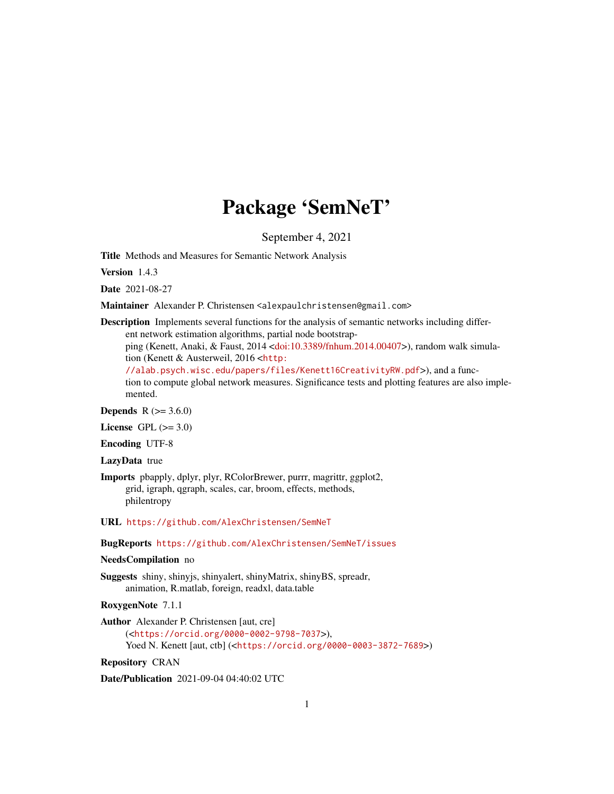# Package 'SemNeT'

September 4, 2021

<span id="page-0-0"></span>Title Methods and Measures for Semantic Network Analysis

Version 1.4.3

Date 2021-08-27

Maintainer Alexander P. Christensen <alexpaulchristensen@gmail.com>

Description Implements several functions for the analysis of semantic networks including different network estimation algorithms, partial node bootstrap-

ping (Kenett, Anaki, & Faust, 2014 [<doi:10.3389/fnhum.2014.00407>](https://doi.org/10.3389/fnhum.2014.00407)), random walk simulation (Kenett & Austerweil, 2016 <[http:](http://alab.psych.wisc.edu/papers/files/Kenett16CreativityRW.pdf)

[//alab.psych.wisc.edu/papers/files/Kenett16CreativityRW.pdf](http://alab.psych.wisc.edu/papers/files/Kenett16CreativityRW.pdf)>), and a function to compute global network measures. Significance tests and plotting features are also implemented.

**Depends** R  $(>= 3.6.0)$ 

License GPL  $(>= 3.0)$ 

Encoding UTF-8

LazyData true

Imports pbapply, dplyr, plyr, RColorBrewer, purrr, magrittr, ggplot2, grid, igraph, qgraph, scales, car, broom, effects, methods, philentropy

URL <https://github.com/AlexChristensen/SemNeT>

BugReports <https://github.com/AlexChristensen/SemNeT/issues>

# NeedsCompilation no

Suggests shiny, shinyjs, shinyalert, shinyMatrix, shinyBS, spreadr, animation, R.matlab, foreign, readxl, data.table

RoxygenNote 7.1.1

Author Alexander P. Christensen [aut, cre] (<<https://orcid.org/0000-0002-9798-7037>>), Yoed N. Kenett [aut, ctb] (<<https://orcid.org/0000-0003-3872-7689>>)

Repository CRAN

Date/Publication 2021-09-04 04:40:02 UTC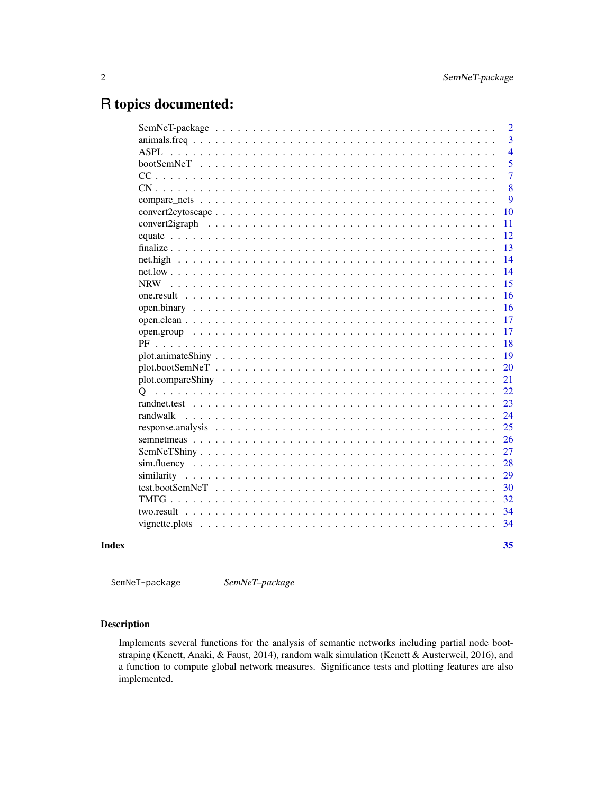# <span id="page-1-0"></span>R topics documented:

| <b>ASPL</b>                                                                                                         |  |  |  |  |  |  |  |  |  |  |  |  |  |    |
|---------------------------------------------------------------------------------------------------------------------|--|--|--|--|--|--|--|--|--|--|--|--|--|----|
| bootSemNeT                                                                                                          |  |  |  |  |  |  |  |  |  |  |  |  |  |    |
| $CC \ldots \ldots$                                                                                                  |  |  |  |  |  |  |  |  |  |  |  |  |  |    |
| $CN \ldots \ldots$                                                                                                  |  |  |  |  |  |  |  |  |  |  |  |  |  |    |
|                                                                                                                     |  |  |  |  |  |  |  |  |  |  |  |  |  |    |
| $convert2cytoscape \dots \dots \dots \dots \dots \dots \dots \dots \dots \dots \dots \dots \dots \dots \dots \dots$ |  |  |  |  |  |  |  |  |  |  |  |  |  | 10 |
| convert2igraph                                                                                                      |  |  |  |  |  |  |  |  |  |  |  |  |  | 11 |
|                                                                                                                     |  |  |  |  |  |  |  |  |  |  |  |  |  | 12 |
|                                                                                                                     |  |  |  |  |  |  |  |  |  |  |  |  |  | 13 |
|                                                                                                                     |  |  |  |  |  |  |  |  |  |  |  |  |  | 14 |
|                                                                                                                     |  |  |  |  |  |  |  |  |  |  |  |  |  | 14 |
| NRW                                                                                                                 |  |  |  |  |  |  |  |  |  |  |  |  |  | 15 |
|                                                                                                                     |  |  |  |  |  |  |  |  |  |  |  |  |  | 16 |
|                                                                                                                     |  |  |  |  |  |  |  |  |  |  |  |  |  | 16 |
|                                                                                                                     |  |  |  |  |  |  |  |  |  |  |  |  |  | 17 |
|                                                                                                                     |  |  |  |  |  |  |  |  |  |  |  |  |  | 17 |
| PF                                                                                                                  |  |  |  |  |  |  |  |  |  |  |  |  |  | 18 |
|                                                                                                                     |  |  |  |  |  |  |  |  |  |  |  |  |  | 19 |
|                                                                                                                     |  |  |  |  |  |  |  |  |  |  |  |  |  | 20 |
|                                                                                                                     |  |  |  |  |  |  |  |  |  |  |  |  |  | 21 |
| Ő                                                                                                                   |  |  |  |  |  |  |  |  |  |  |  |  |  | 22 |
|                                                                                                                     |  |  |  |  |  |  |  |  |  |  |  |  |  | 23 |
| randwalk                                                                                                            |  |  |  |  |  |  |  |  |  |  |  |  |  | 24 |
|                                                                                                                     |  |  |  |  |  |  |  |  |  |  |  |  |  | 25 |
|                                                                                                                     |  |  |  |  |  |  |  |  |  |  |  |  |  | 26 |
|                                                                                                                     |  |  |  |  |  |  |  |  |  |  |  |  |  | 27 |
|                                                                                                                     |  |  |  |  |  |  |  |  |  |  |  |  |  | 28 |
|                                                                                                                     |  |  |  |  |  |  |  |  |  |  |  |  |  | 29 |
|                                                                                                                     |  |  |  |  |  |  |  |  |  |  |  |  |  | 30 |
|                                                                                                                     |  |  |  |  |  |  |  |  |  |  |  |  |  | 32 |
|                                                                                                                     |  |  |  |  |  |  |  |  |  |  |  |  |  | 34 |
|                                                                                                                     |  |  |  |  |  |  |  |  |  |  |  |  |  | 34 |
|                                                                                                                     |  |  |  |  |  |  |  |  |  |  |  |  |  |    |
|                                                                                                                     |  |  |  |  |  |  |  |  |  |  |  |  |  | 35 |

SemNeT-package *SemNeT–package*

# <span id="page-1-1"></span>Description

Implements several functions for the analysis of semantic networks including partial node bootstraping (Kenett, Anaki, & Faust, 2014), random walk simulation (Kenett & Austerweil, 2016), and a function to compute global network measures. Significance tests and plotting features are also implemented.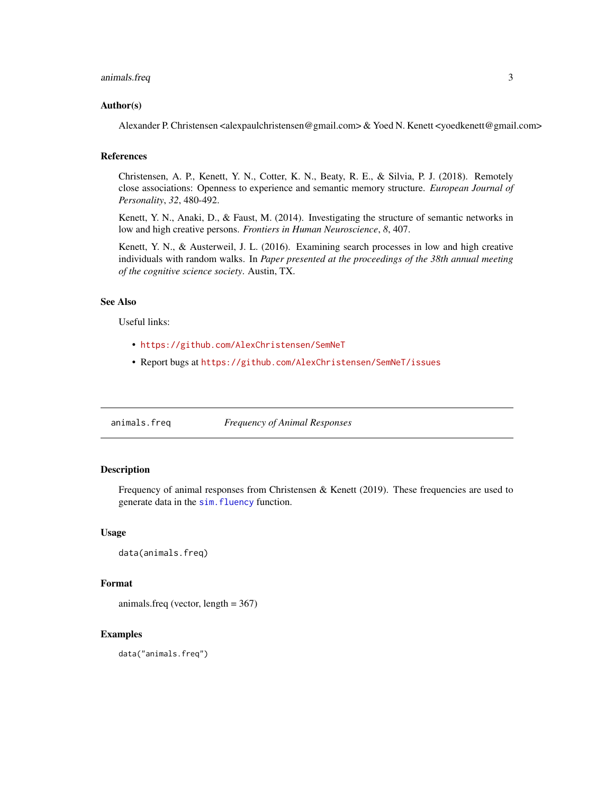## <span id="page-2-0"></span>animals.freq 3

#### Author(s)

Alexander P. Christensen <alexpaulchristensen@gmail.com> & Yoed N. Kenett <yoedkenett@gmail.com>

#### References

Christensen, A. P., Kenett, Y. N., Cotter, K. N., Beaty, R. E., & Silvia, P. J. (2018). Remotely close associations: Openness to experience and semantic memory structure. *European Journal of Personality*, *32*, 480-492.

Kenett, Y. N., Anaki, D., & Faust, M. (2014). Investigating the structure of semantic networks in low and high creative persons. *Frontiers in Human Neuroscience*, *8*, 407.

Kenett, Y. N., & Austerweil, J. L. (2016). Examining search processes in low and high creative individuals with random walks. In *Paper presented at the proceedings of the 38th annual meeting of the cognitive science society*. Austin, TX.

#### See Also

Useful links:

- <https://github.com/AlexChristensen/SemNeT>
- Report bugs at <https://github.com/AlexChristensen/SemNeT/issues>

<span id="page-2-1"></span>animals.freq *Frequency of Animal Responses*

# Description

Frequency of animal responses from Christensen & Kenett (2019). These frequencies are used to generate data in the [sim.fluency](#page-27-1) function.

#### Usage

data(animals.freq)

#### Format

animals.freq (vector, length = 367)

### Examples

data("animals.freq")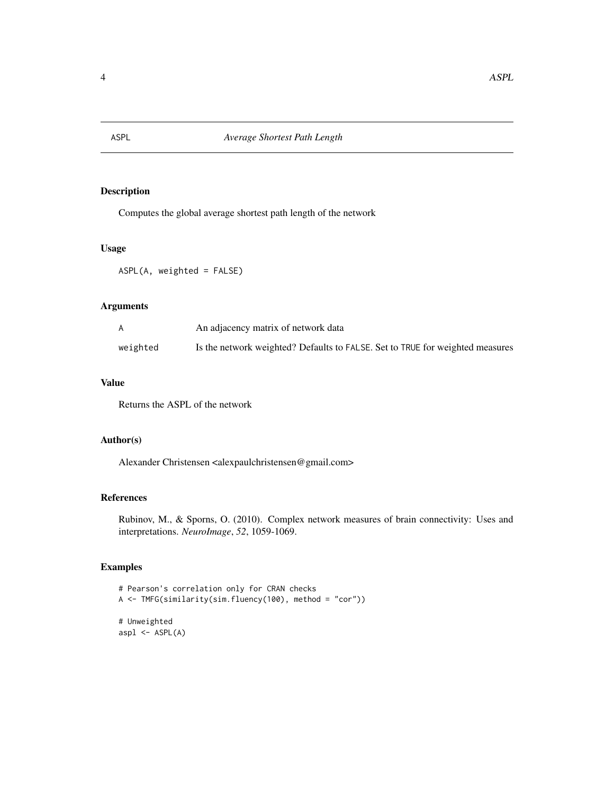<span id="page-3-1"></span><span id="page-3-0"></span>

Computes the global average shortest path length of the network

# Usage

ASPL(A, weighted = FALSE)

## Arguments

| A        | An adjacency matrix of network data                                           |
|----------|-------------------------------------------------------------------------------|
| weighted | Is the network weighted? Defaults to FALSE. Set to TRUE for weighted measures |

#### Value

Returns the ASPL of the network

# Author(s)

Alexander Christensen <alexpaulchristensen@gmail.com>

#### References

Rubinov, M., & Sporns, O. (2010). Complex network measures of brain connectivity: Uses and interpretations. *NeuroImage*, *52*, 1059-1069.

```
# Pearson's correlation only for CRAN checks
A <- TMFG(similarity(sim.fluency(100), method = "cor"))
# Unweighted
aspl \leftarrow ASPL(A)
```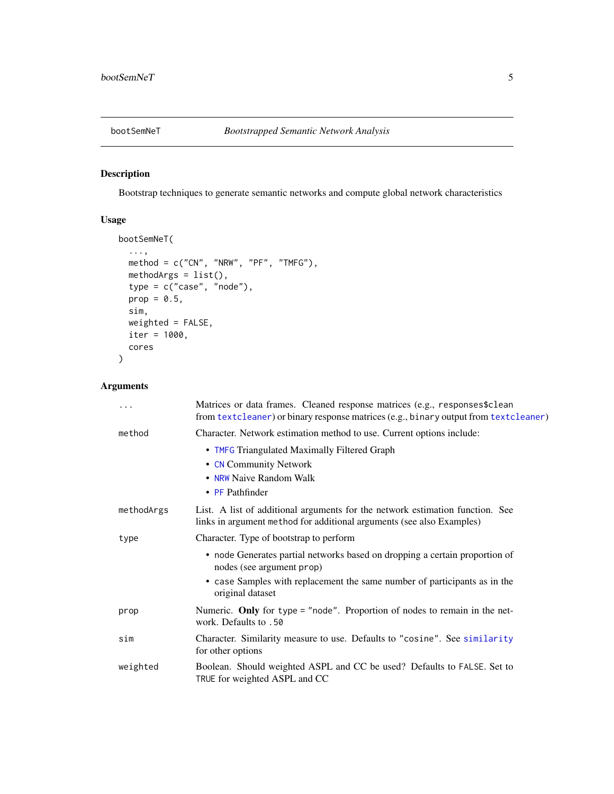<span id="page-4-1"></span><span id="page-4-0"></span>

Bootstrap techniques to generate semantic networks and compute global network characteristics

# Usage

```
bootSemNeT(
  ...,
  method = c("CN", "NRW", "PF", "TMFG"),
  methodArgs = list(),
  type = c("case", "node"),
  prop = 0.5,
  sim,
  weighted = FALSE,
  iter = 1000,
  cores
)
```
# Arguments

| .          | Matrices or data frames. Cleaned response matrices (e.g., responses \$clean<br>from textcleaner) or binary response matrices (e.g., binary output from textcleaner)                                       |
|------------|-----------------------------------------------------------------------------------------------------------------------------------------------------------------------------------------------------------|
| method     | Character. Network estimation method to use. Current options include:                                                                                                                                     |
|            | • TMFG Triangulated Maximally Filtered Graph<br>• CN Community Network<br>• NRW Naive Random Walk<br>$\cdot$ PF Pathfinder                                                                                |
| methodArgs | List. A list of additional arguments for the network estimation function. See<br>links in argument method for additional arguments (see also Examples)                                                    |
| type       | Character. Type of bootstrap to perform                                                                                                                                                                   |
|            | • node Generates partial networks based on dropping a certain proportion of<br>nodes (see argument prop)<br>• case Samples with replacement the same number of participants as in the<br>original dataset |
| prop       | Numeric. Only for type = "node". Proportion of nodes to remain in the net-<br>work. Defaults to .50                                                                                                       |
| sim        | Character. Similarity measure to use. Defaults to "cosine". See similarity<br>for other options                                                                                                           |
| weighted   | Boolean. Should weighted ASPL and CC be used? Defaults to FALSE. Set to<br>TRUE for weighted ASPL and CC                                                                                                  |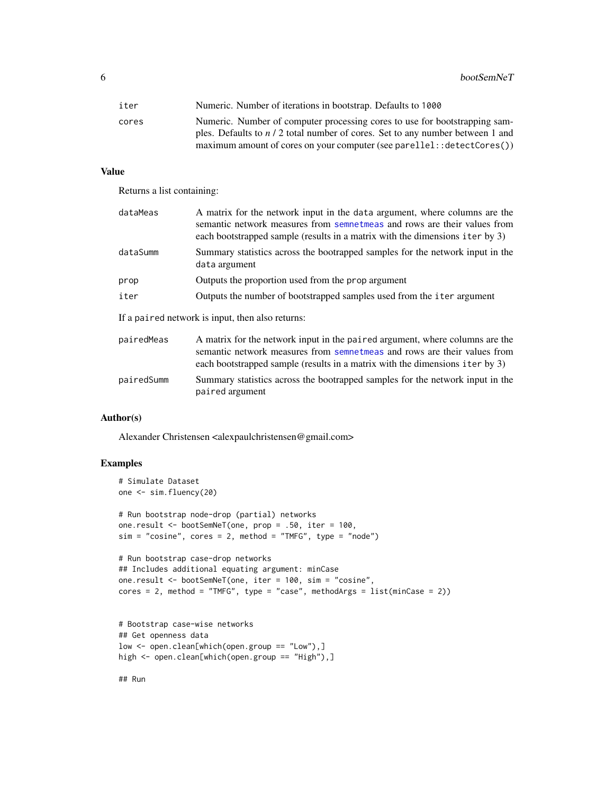<span id="page-5-0"></span>6 bootSemNeT

| iter  | Numeric. Number of iterations in bootstrap. Defaults to 1000                                                                                                 |
|-------|--------------------------------------------------------------------------------------------------------------------------------------------------------------|
| cores | Numeric. Number of computer processing cores to use for bootstrapping sam-<br>ples. Defaults to $n/2$ total number of cores. Set to any number between 1 and |
|       | maximum amount of cores on your computer (see parellel: : detectCores())                                                                                     |

#### Value

Returns a list containing:

| dataMeas   | A matrix for the network input in the data argument, where columns are the<br>semantic network measures from sempetmeas and rows are their values from<br>each bootstrapped sample (results in a matrix with the dimensions iter by 3) |
|------------|----------------------------------------------------------------------------------------------------------------------------------------------------------------------------------------------------------------------------------------|
| dataSumm   | Summary statistics across the bootrapped samples for the network input in the<br>data argument                                                                                                                                         |
| prop       | Outputs the proportion used from the prop argument                                                                                                                                                                                     |
| iter       | Outputs the number of bootstrapped samples used from the iter argument                                                                                                                                                                 |
|            | If a paired network is input, then also returns:                                                                                                                                                                                       |
| pairedMess | A matrix for the network input in the paired groupent where columns are the                                                                                                                                                            |

pairedMeas A matrix for the network input in the paired argument, where columns are the semantic network measures from [semnetmeas](#page-25-1) and rows are their values from each bootstrapped sample (results in a matrix with the dimensions iter by 3) pairedSumm Summary statistics across the bootrapped samples for the network input in the paired argument

#### Author(s)

Alexander Christensen <alexpaulchristensen@gmail.com>

```
# Simulate Dataset
one <- sim.fluency(20)
# Run bootstrap node-drop (partial) networks
one.result <- bootSemNeT(one, prop = .50, iter = 100,
sim = "cosine", cores = 2, method = "TMFG", type = "node")# Run bootstrap case-drop networks
## Includes additional equating argument: minCase
one.result <- bootSemNeT(one, iter = 100, sim = "cosine",
cores = 2, method = "TMFG", type = "case", methodArgs = list(minCase = 2))# Bootstrap case-wise networks
## Get openness data
low <- open.clean[which(open.group == "Low"),]
high <- open.clean[which(open.group == "High"),]
```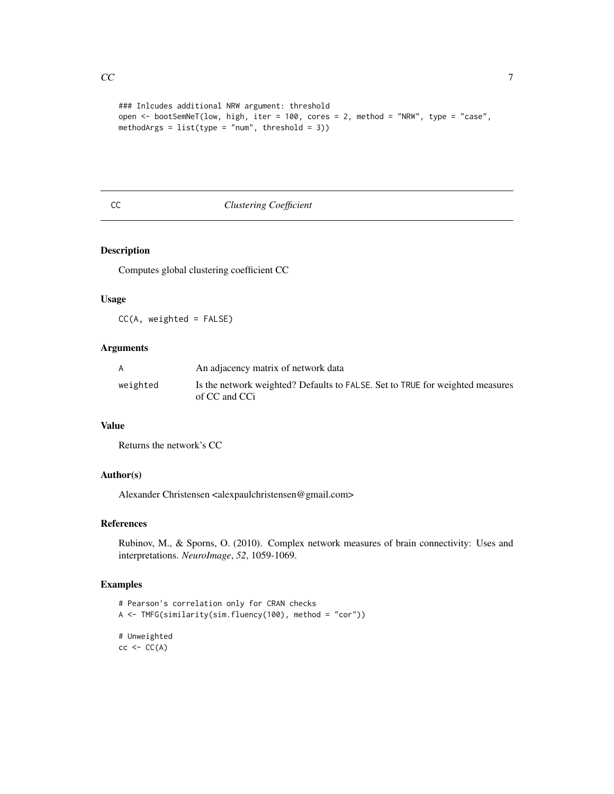```
### Inlcudes additional NRW argument: threshold
open <- bootSemNeT(low, high, iter = 100, cores = 2, method = "NRW", type = "case",
methodArgs = list(type = "num", threshold = 3))
```
# <span id="page-6-1"></span>CC *Clustering Coefficient*

# Description

Computes global clustering coefficient CC

#### Usage

CC(A, weighted = FALSE)

# Arguments

|          | An adjacency matrix of network data                                                            |
|----------|------------------------------------------------------------------------------------------------|
| weighted | Is the network weighted? Defaults to FALSE. Set to TRUE for weighted measures<br>of CC and CCi |

# Value

Returns the network's CC

# Author(s)

Alexander Christensen <alexpaulchristensen@gmail.com>

## References

Rubinov, M., & Sporns, O. (2010). Complex network measures of brain connectivity: Uses and interpretations. *NeuroImage*, *52*, 1059-1069.

```
# Pearson's correlation only for CRAN checks
A <- TMFG(similarity(sim.fluency(100), method = "cor"))
# Unweighted
cc < -CC(A)
```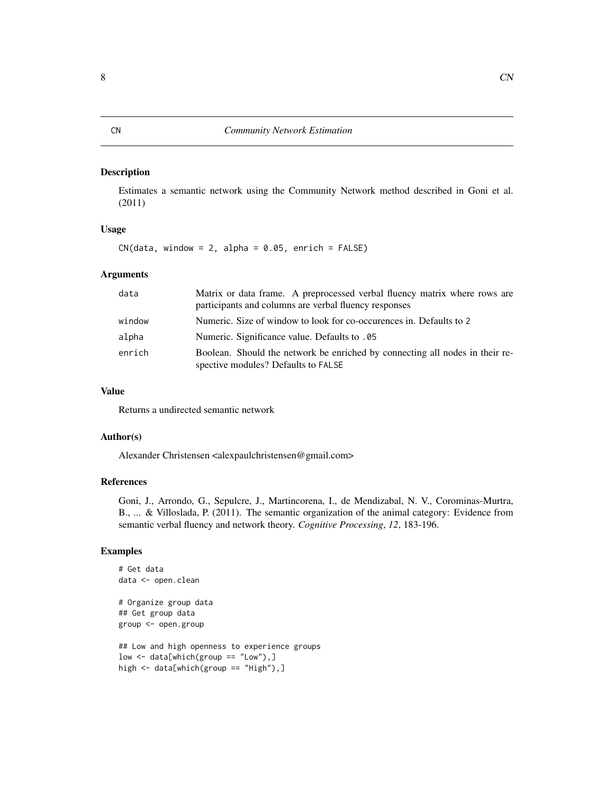<span id="page-7-1"></span><span id="page-7-0"></span>Estimates a semantic network using the Community Network method described in Goni et al. (2011)

#### Usage

 $CN(data, window = 2, alpha = 0.05, enrich = FALSE)$ 

#### **Arguments**

| data   | Matrix or data frame. A preprocessed verbal fluency matrix where rows are<br>participants and columns are verbal fluency responses |
|--------|------------------------------------------------------------------------------------------------------------------------------------|
| window | Numeric. Size of window to look for co-occurences in. Defaults to 2                                                                |
| alpha  | Numeric. Significance value. Defaults to .05                                                                                       |
| enrich | Boolean. Should the network be enriched by connecting all nodes in their re-<br>spective modules? Defaults to FALSE                |

# Value

Returns a undirected semantic network

#### Author(s)

Alexander Christensen <alexpaulchristensen@gmail.com>

#### References

Goni, J., Arrondo, G., Sepulcre, J., Martincorena, I., de Mendizabal, N. V., Corominas-Murtra, B., ... & Villoslada, P. (2011). The semantic organization of the animal category: Evidence from semantic verbal fluency and network theory. *Cognitive Processing*, *12*, 183-196.

```
# Get data
data <- open.clean
# Organize group data
## Get group data
group <- open.group
## Low and high openness to experience groups
low \leftarrow data[which(group == "Low"),]high <- data[which(group == "High"),]
```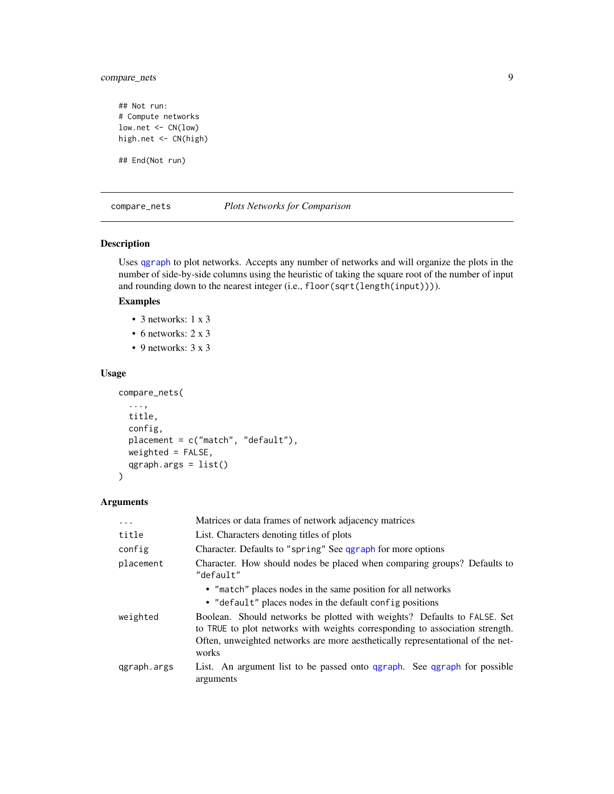# <span id="page-8-0"></span>compare\_nets 9

## Not run: # Compute networks low.net <- CN(low) high.net <- CN(high)

## End(Not run)

#### <span id="page-8-1"></span>compare\_nets *Plots Networks for Comparison*

#### Description

Uses [qgraph](#page-0-0) to plot networks. Accepts any number of networks and will organize the plots in the number of side-by-side columns using the heuristic of taking the square root of the number of input and rounding down to the nearest integer (i.e., floor(sqrt(length(input)))).

#### Examples

- 3 networks: 1 x 3
- 6 networks: 2 x 3
- 9 networks: 3 x 3

#### Usage

```
compare_nets(
  ...,
 title,
  config,
 placement = c("match", "default"),
 weighted = FALSE,qgraph.args = list()
)
```
#### Arguments

| $\ddots$ .  | Matrices or data frames of network adjacency matrices                                                                                                                                                                                               |
|-------------|-----------------------------------------------------------------------------------------------------------------------------------------------------------------------------------------------------------------------------------------------------|
| title       | List. Characters denoting titles of plots                                                                                                                                                                                                           |
| config      | Character. Defaults to "spring" See qgraph for more options                                                                                                                                                                                         |
| placement   | Character. How should nodes be placed when comparing groups? Defaults to<br>"default"                                                                                                                                                               |
|             | • "match" places nodes in the same position for all networks<br>• "default" places nodes in the default config positions                                                                                                                            |
| weighted    | Boolean. Should networks be plotted with weights? Defaults to FALSE. Set<br>to TRUE to plot networks with weights corresponding to association strength.<br>Often, unweighted networks are more aesthetically representational of the net-<br>works |
| ggraph.args | List. An argument list to be passed onto qgraph. See qgraph for possible<br>arguments                                                                                                                                                               |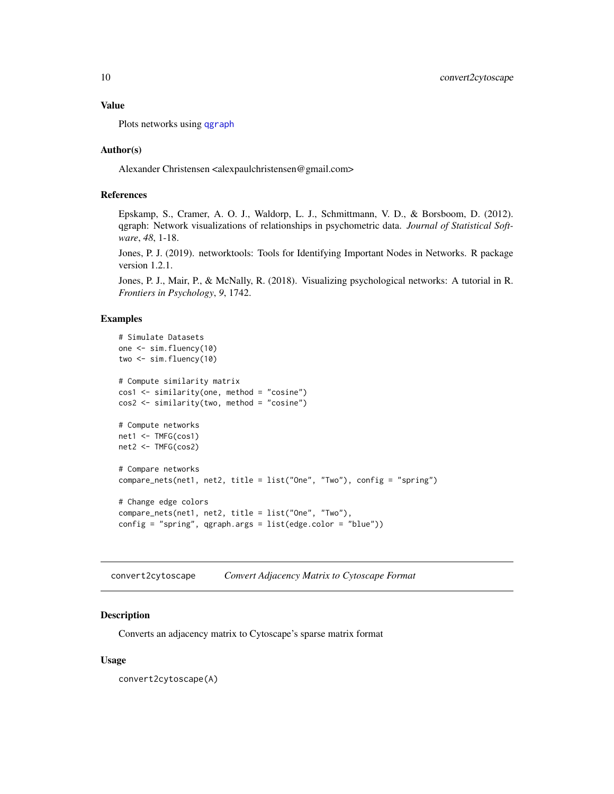<span id="page-9-0"></span>Plots networks using [qgraph](#page-0-0)

#### Author(s)

Alexander Christensen <alexpaulchristensen@gmail.com>

# References

Epskamp, S., Cramer, A. O. J., Waldorp, L. J., Schmittmann, V. D., & Borsboom, D. (2012). qgraph: Network visualizations of relationships in psychometric data. *Journal of Statistical Software*, *48*, 1-18.

Jones, P. J. (2019). networktools: Tools for Identifying Important Nodes in Networks. R package version 1.2.1.

Jones, P. J., Mair, P., & McNally, R. (2018). Visualizing psychological networks: A tutorial in R. *Frontiers in Psychology*, *9*, 1742.

#### Examples

```
# Simulate Datasets
one <- sim.fluency(10)
two <- sim.fluency(10)
# Compute similarity matrix
cos1 <- similarity(one, method = "cosine")
cos2 <- similarity(two, method = "cosine")
# Compute networks
net1 <- TMFG(cos1)
net2 <- TMFG(cos2)
# Compare networks
compare_nets(net1, net2, title = list("One", "Two"), config = "spring")
# Change edge colors
compare_nets(net1, net2, title = list("One", "Two"),
config = "spring", qgraph.args = list(edge.color = "blue"))
```
convert2cytoscape *Convert Adjacency Matrix to Cytoscape Format*

#### Description

Converts an adjacency matrix to Cytoscape's sparse matrix format

#### Usage

convert2cytoscape(A)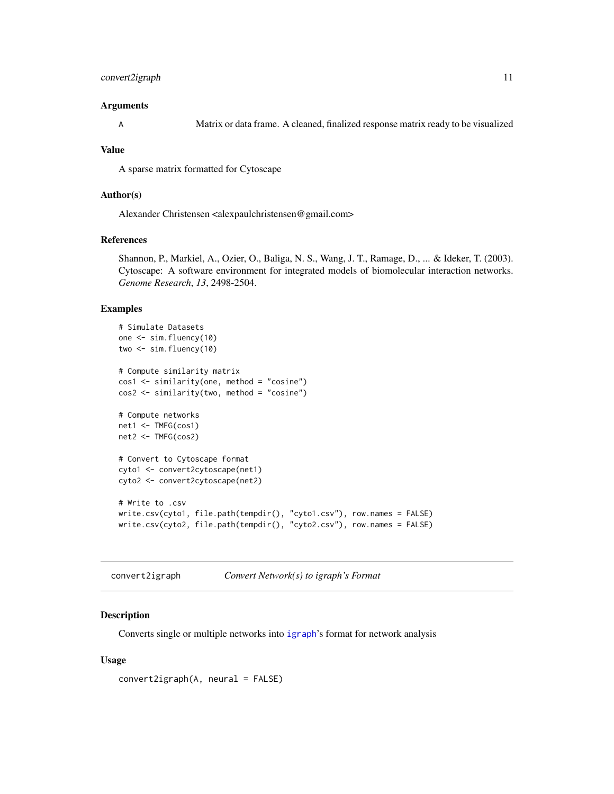# <span id="page-10-0"></span>convert2igraph 11

#### Arguments

A Matrix or data frame. A cleaned, finalized response matrix ready to be visualized

#### Value

A sparse matrix formatted for Cytoscape

#### Author(s)

Alexander Christensen <alexpaulchristensen@gmail.com>

# References

Shannon, P., Markiel, A., Ozier, O., Baliga, N. S., Wang, J. T., Ramage, D., ... & Ideker, T. (2003). Cytoscape: A software environment for integrated models of biomolecular interaction networks. *Genome Research*, *13*, 2498-2504.

#### Examples

```
# Simulate Datasets
one <- sim.fluency(10)
two \le sim. fluency(10)
# Compute similarity matrix
cos1 <- similarity(one, method = "cosine")
cos2 <- similarity(two, method = "cosine")
# Compute networks
net1 <- TMFG(cos1)
net2 <- TMFG(cos2)
# Convert to Cytoscape format
cyto1 <- convert2cytoscape(net1)
cyto2 <- convert2cytoscape(net2)
# Write to .csv
write.csv(cyto1, file.path(tempdir(), "cyto1.csv"), row.names = FALSE)
write.csv(cyto2, file.path(tempdir(), "cyto2.csv"), row.names = FALSE)
```
convert2igraph *Convert Network(s) to igraph's Format*

#### Description

Converts single or multiple networks into [igraph](#page-0-0)'s format for network analysis

#### Usage

convert2igraph(A, neural = FALSE)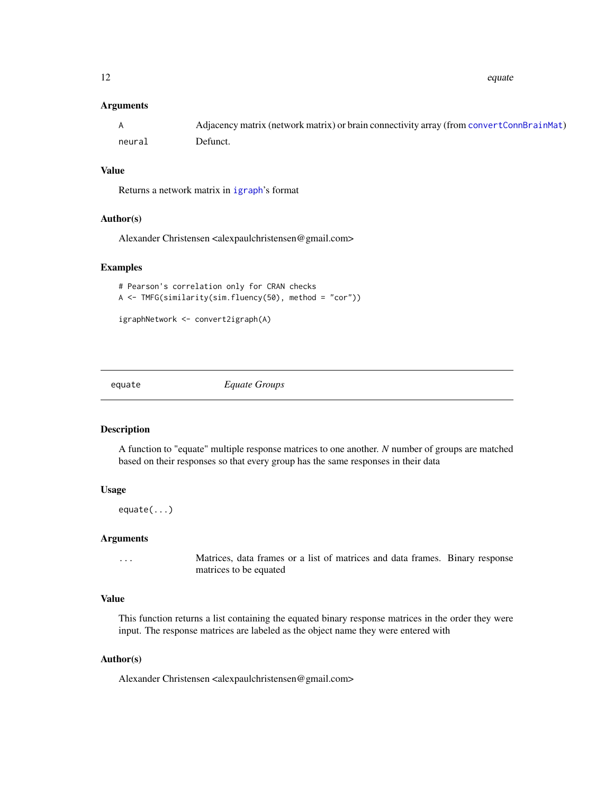<span id="page-11-0"></span>12 equate equate  $\frac{1}{2}$  equate  $\frac{1}{2}$  equate  $\frac{1}{2}$  equate  $\frac{1}{2}$  equate

#### Arguments

|        | Adjacency matrix (network matrix) or brain connectivity array (from convert ConnerainMat) |
|--------|-------------------------------------------------------------------------------------------|
| neural | Defunct.                                                                                  |

# Value

Returns a network matrix in [igraph](#page-0-0)'s format

#### Author(s)

Alexander Christensen <alexpaulchristensen@gmail.com>

#### Examples

```
# Pearson's correlation only for CRAN checks
A <- TMFG(similarity(sim.fluency(50), method = "cor"))
```

```
igraphNetwork <- convert2igraph(A)
```
equate *Equate Groups*

# Description

A function to "equate" multiple response matrices to one another. *N* number of groups are matched based on their responses so that every group has the same responses in their data

# Usage

equate(...)

#### **Arguments**

... Matrices, data frames or a list of matrices and data frames. Binary response matrices to be equated

# Value

This function returns a list containing the equated binary response matrices in the order they were input. The response matrices are labeled as the object name they were entered with

#### Author(s)

Alexander Christensen <alexpaulchristensen@gmail.com>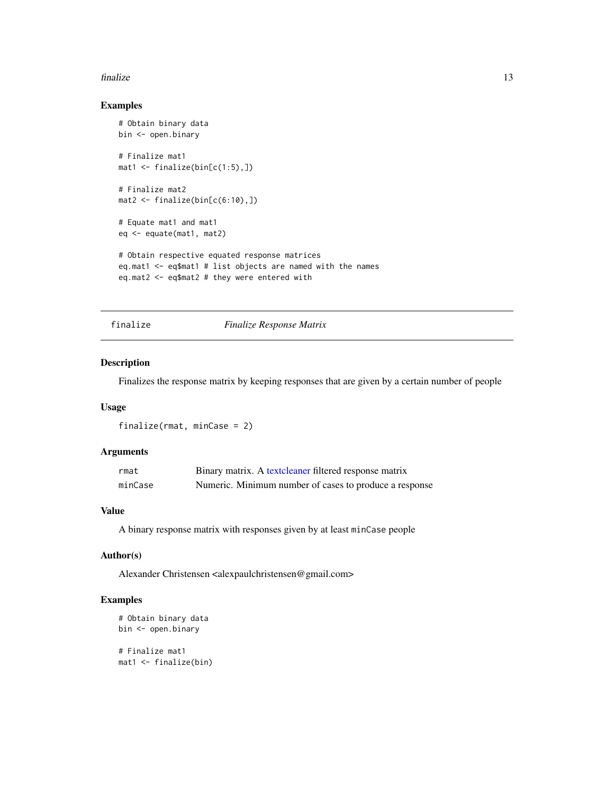#### <span id="page-12-0"></span>finalize the contract of the contract of the contract of the contract of the contract of the contract of the contract of the contract of the contract of the contract of the contract of the contract of the contract of the c

# Examples

```
# Obtain binary data
bin <- open.binary
# Finalize mat1
mat1 < - finalize(bin[c(1:5),])
# Finalize mat2
mat2 \leftarrow finalize(bin[c(6:10),])# Equate mat1 and mat1
eq <- equate(mat1, mat2)
# Obtain respective equated response matrices
eq.mat1 <- eq$mat1 # list objects are named with the names
eq.mat2 <- eq$mat2 # they were entered with
```
# finalize *Finalize Response Matrix*

# Description

Finalizes the response matrix by keeping responses that are given by a certain number of people

# Usage

finalize(rmat, minCase = 2)

# Arguments

| rmat    | Binary matrix. A textcleaner filtered response matrix  |
|---------|--------------------------------------------------------|
| minCase | Numeric. Minimum number of cases to produce a response |

## Value

A binary response matrix with responses given by at least minCase people

# Author(s)

Alexander Christensen <alexpaulchristensen@gmail.com>

```
# Obtain binary data
bin <- open.binary
# Finalize mat1
mat1 <- finalize(bin)
```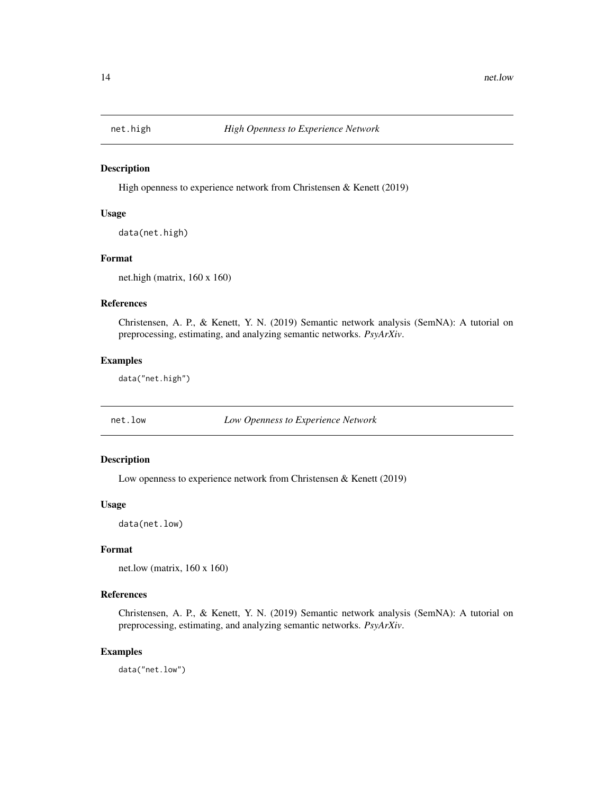<span id="page-13-0"></span>

High openness to experience network from Christensen & Kenett (2019)

#### Usage

data(net.high)

# Format

net.high (matrix, 160 x 160)

# References

Christensen, A. P., & Kenett, Y. N. (2019) Semantic network analysis (SemNA): A tutorial on preprocessing, estimating, and analyzing semantic networks. *PsyArXiv*.

# Examples

data("net.high")

net.low *Low Openness to Experience Network*

#### Description

Low openness to experience network from Christensen & Kenett (2019)

#### Usage

data(net.low)

#### Format

net.low (matrix, 160 x 160)

#### References

Christensen, A. P., & Kenett, Y. N. (2019) Semantic network analysis (SemNA): A tutorial on preprocessing, estimating, and analyzing semantic networks. *PsyArXiv*.

# Examples

data("net.low")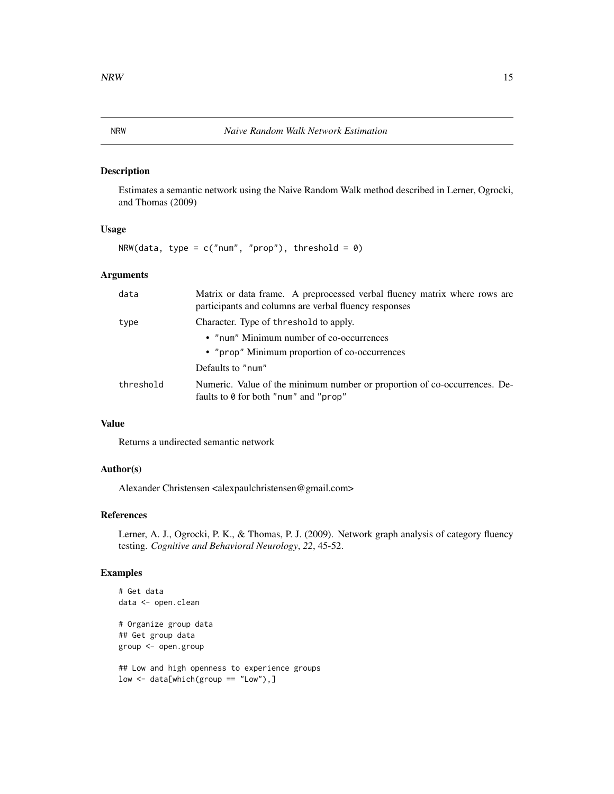<span id="page-14-1"></span><span id="page-14-0"></span>Estimates a semantic network using the Naive Random Walk method described in Lerner, Ogrocki, and Thomas (2009)

#### Usage

 $NRW(data, type = c("num", "prop")$ , threshold = 0)

# Arguments

| data      | Matrix or data frame. A preprocessed verbal fluency matrix where rows are<br>participants and columns are verbal fluency responses |
|-----------|------------------------------------------------------------------------------------------------------------------------------------|
| type      | Character. Type of threshold to apply.                                                                                             |
|           | • "num" Minimum number of co-occurrences                                                                                           |
|           | • "prop" Minimum proportion of co-occurrences                                                                                      |
|           | Defaults to "num"                                                                                                                  |
| threshold | Numeric. Value of the minimum number or proportion of co-occurrences. De-<br>faults to 0 for both "num" and "prop"                 |

### Value

Returns a undirected semantic network

# Author(s)

Alexander Christensen <alexpaulchristensen@gmail.com>

# References

Lerner, A. J., Ogrocki, P. K., & Thomas, P. J. (2009). Network graph analysis of category fluency testing. *Cognitive and Behavioral Neurology*, *22*, 45-52.

```
# Get data
data <- open.clean
# Organize group data
## Get group data
group <- open.group
## Low and high openness to experience groups
```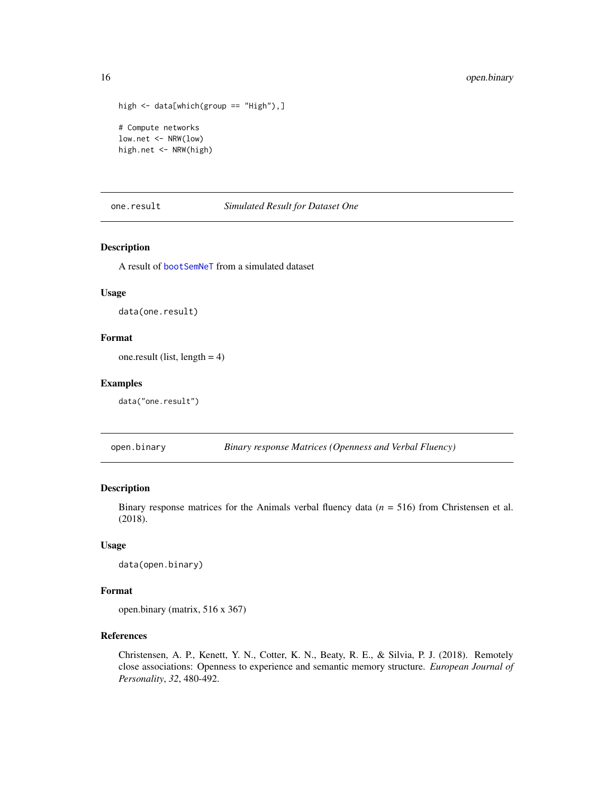```
high <- data[which(group == "High"),]
# Compute networks
low.net <- NRW(low)
high.net <- NRW(high)
```
one.result *Simulated Result for Dataset One*

# Description

A result of [bootSemNeT](#page-4-1) from a simulated dataset

# Usage

data(one.result)

#### Format

one.result (list, length  $= 4$ )

#### Examples

data("one.result")

open.binary *Binary response Matrices (Openness and Verbal Fluency)*

# Description

Binary response matrices for the Animals verbal fluency data (*n* = 516) from Christensen et al. (2018).

# Usage

data(open.binary)

# Format

open.binary (matrix, 516 x 367)

## References

Christensen, A. P., Kenett, Y. N., Cotter, K. N., Beaty, R. E., & Silvia, P. J. (2018). Remotely close associations: Openness to experience and semantic memory structure. *European Journal of Personality*, *32*, 480-492.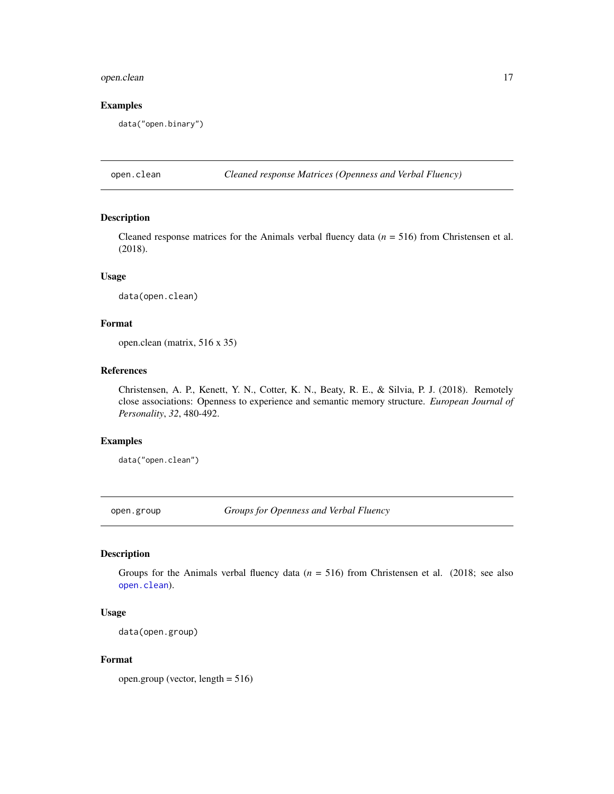# <span id="page-16-0"></span>open.clean 17

# Examples

data("open.binary")

<span id="page-16-1"></span>open.clean *Cleaned response Matrices (Openness and Verbal Fluency)*

# Description

Cleaned response matrices for the Animals verbal fluency data (*n* = 516) from Christensen et al. (2018).

# Usage

data(open.clean)

#### Format

open.clean (matrix, 516 x 35)

# References

Christensen, A. P., Kenett, Y. N., Cotter, K. N., Beaty, R. E., & Silvia, P. J. (2018). Remotely close associations: Openness to experience and semantic memory structure. *European Journal of Personality*, *32*, 480-492.

# Examples

data("open.clean")

open.group *Groups for Openness and Verbal Fluency*

# Description

Groups for the Animals verbal fluency data (*n* = 516) from Christensen et al. (2018; see also [open.clean](#page-16-1)).

# Usage

data(open.group)

# Format

open.group (vector, length = 516)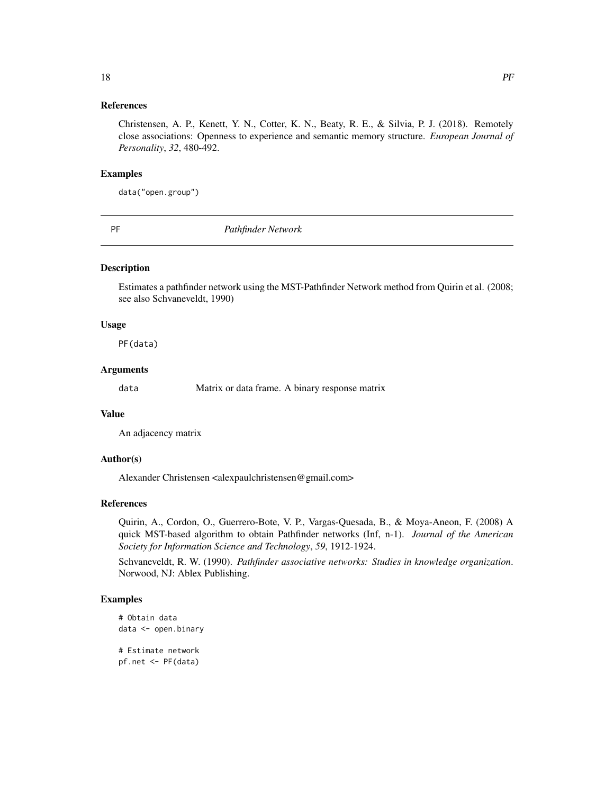# <span id="page-17-0"></span>References

Christensen, A. P., Kenett, Y. N., Cotter, K. N., Beaty, R. E., & Silvia, P. J. (2018). Remotely close associations: Openness to experience and semantic memory structure. *European Journal of Personality*, *32*, 480-492.

#### Examples

data("open.group")

<span id="page-17-1"></span>

PF *Pathfinder Network*

#### Description

Estimates a pathfinder network using the MST-Pathfinder Network method from Quirin et al. (2008; see also Schvaneveldt, 1990)

#### Usage

PF(data)

#### Arguments

data Matrix or data frame. A binary response matrix

# Value

An adjacency matrix

#### Author(s)

Alexander Christensen <alexpaulchristensen@gmail.com>

# References

Quirin, A., Cordon, O., Guerrero-Bote, V. P., Vargas-Quesada, B., & Moya-Aneon, F. (2008) A quick MST-based algorithm to obtain Pathfinder networks (Inf, n-1). *Journal of the American Society for Information Science and Technology*, *59*, 1912-1924.

Schvaneveldt, R. W. (1990). *Pathfinder associative networks: Studies in knowledge organization*. Norwood, NJ: Ablex Publishing.

```
# Obtain data
data <- open.binary
# Estimate network
pf.net <- PF(data)
```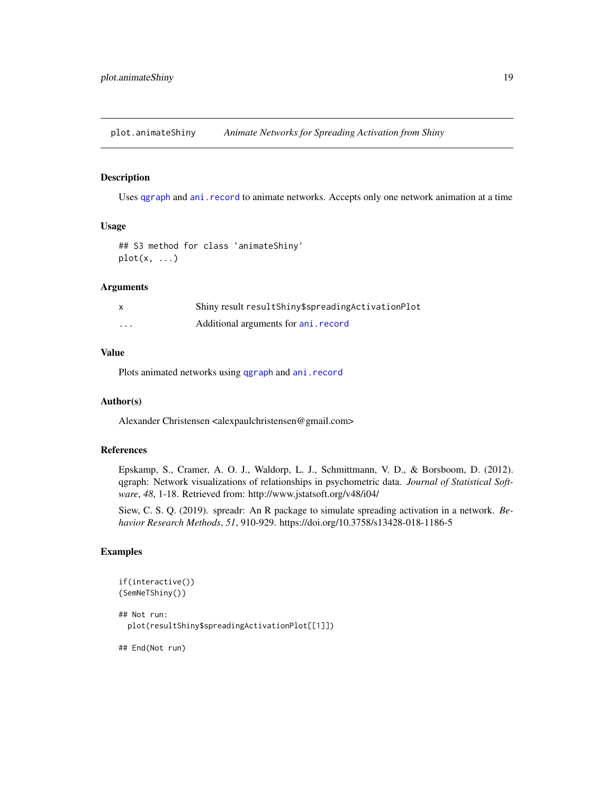<span id="page-18-0"></span>plot.animateShiny *Animate Networks for Spreading Activation from Shiny*

# Description

Uses [qgraph](#page-0-0) and [ani.record](#page-0-0) to animate networks. Accepts only one network animation at a time

# Usage

```
## S3 method for class 'animateShiny'
plot(x, \ldots)
```
### Arguments

| X        | Shiny result result Shiny\$ spreading Activation Plot |
|----------|-------------------------------------------------------|
| $\cdots$ | Additional arguments for ani. record                  |

# Value

Plots animated networks using [qgraph](#page-0-0) and [ani.record](#page-0-0)

#### Author(s)

Alexander Christensen <alexpaulchristensen@gmail.com>

#### References

Epskamp, S., Cramer, A. O. J., Waldorp, L. J., Schmittmann, V. D., & Borsboom, D. (2012). qgraph: Network visualizations of relationships in psychometric data. *Journal of Statistical Software*, *48*, 1-18. Retrieved from: http://www.jstatsoft.org/v48/i04/

Siew, C. S. Q. (2019). spreadr: An R package to simulate spreading activation in a network. *Behavior Research Methods*, *51*, 910-929. https://doi.org/10.3758/s13428-018-1186-5

# Examples

```
if(interactive())
{SemNeTShiny()}
## Not run:
 plot(resultShiny$spreadingActivationPlot[[1]])
```
## End(Not run)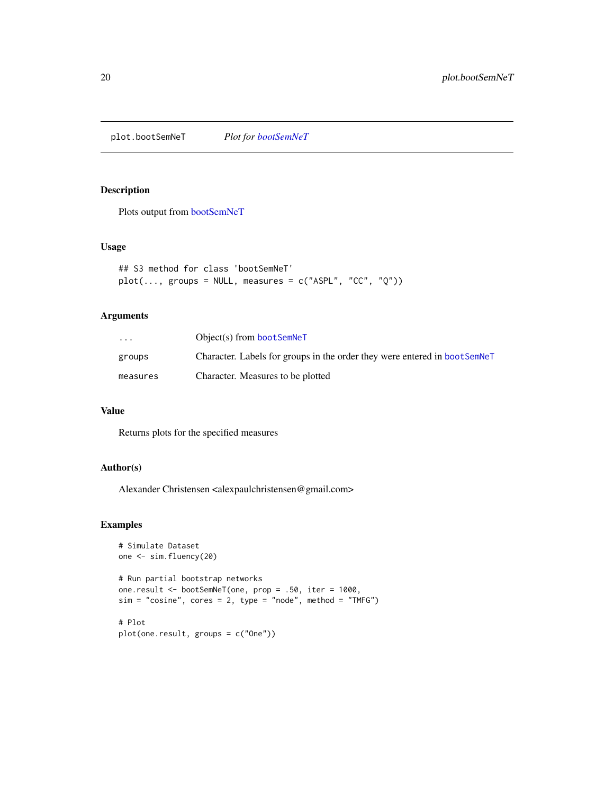<span id="page-19-1"></span><span id="page-19-0"></span>plot.bootSemNeT *Plot for [bootSemNeT](#page-4-1)*

# Description

Plots output from [bootSemNeT](#page-4-1)

#### Usage

```
## S3 method for class 'bootSemNeT'
plot(..., groups = NULL, measures = c("ASPL", "CC", "Q"))
```
# Arguments

| $\cdots$ | $Object(s)$ from boot SemNeT                                               |
|----------|----------------------------------------------------------------------------|
| groups   | Character. Labels for groups in the order they were entered in boot SemNeT |
| measures | Character. Measures to be plotted                                          |

### Value

Returns plots for the specified measures

#### Author(s)

Alexander Christensen <alexpaulchristensen@gmail.com>

```
# Simulate Dataset
one <- sim.fluency(20)
# Run partial bootstrap networks
one.result <- bootSemNeT(one, prop = .50, iter = 1000,
sim = "cosine", cores = 2, type = "node", method = "TMFG")# Plot
plot(one.result, groups = c("One"))
```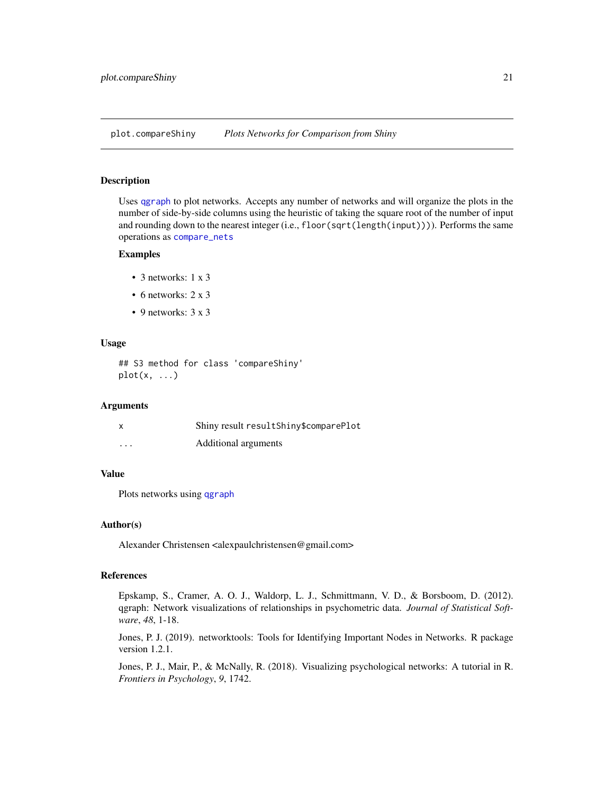<span id="page-20-0"></span>plot.compareShiny *Plots Networks for Comparison from Shiny*

# Description

Uses [qgraph](#page-0-0) to plot networks. Accepts any number of networks and will organize the plots in the number of side-by-side columns using the heuristic of taking the square root of the number of input and rounding down to the nearest integer (i.e., floor(sqrt(length(input)))). Performs the same operations as [compare\\_nets](#page-8-1)

#### Examples

- 3 networks: 1 x 3
- 6 networks: 2 x 3
- 9 networks: 3 x 3

#### Usage

## S3 method for class 'compareShiny'  $plot(x, \ldots)$ 

#### Arguments

| $\boldsymbol{\mathsf{x}}$ | Shiny result resultShiny\$comparePlot |
|---------------------------|---------------------------------------|
| $\cdots$                  | Additional arguments                  |

# Value

Plots networks using [qgraph](#page-0-0)

#### Author(s)

Alexander Christensen <alexpaulchristensen@gmail.com>

# References

Epskamp, S., Cramer, A. O. J., Waldorp, L. J., Schmittmann, V. D., & Borsboom, D. (2012). qgraph: Network visualizations of relationships in psychometric data. *Journal of Statistical Software*, *48*, 1-18.

Jones, P. J. (2019). networktools: Tools for Identifying Important Nodes in Networks. R package version 1.2.1.

Jones, P. J., Mair, P., & McNally, R. (2018). Visualizing psychological networks: A tutorial in R. *Frontiers in Psychology*, *9*, 1742.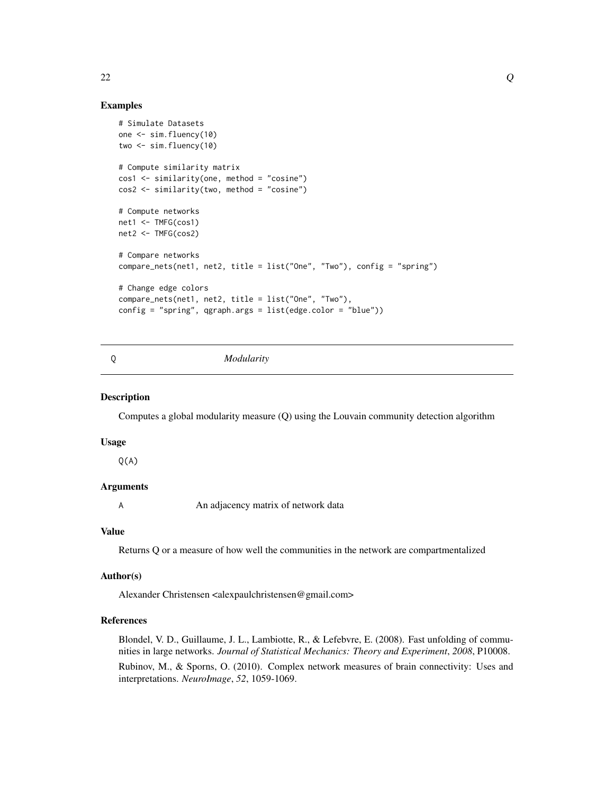# Examples

```
# Simulate Datasets
one <- sim.fluency(10)
two \le sim. fluency(10)
# Compute similarity matrix
cos1 <- similarity(one, method = "cosine")
cos2 <- similarity(two, method = "cosine")
# Compute networks
net1 <- TMFG(cos1)
net2 <- TMFG(cos2)
# Compare networks
compare_nets(net1, net2, title = list("One", "Two"), config = "spring")
# Change edge colors
compare_nets(net1, net2, title = list("One", "Two"),
config = "spring", qgraph.args = list(edge.color = "blue"))
```
<span id="page-21-1"></span>

#### Q *Modularity*

# Description

Computes a global modularity measure (Q) using the Louvain community detection algorithm

#### Usage

 $Q(A)$ 

#### Arguments

A An adjacency matrix of network data

#### Value

Returns Q or a measure of how well the communities in the network are compartmentalized

#### Author(s)

Alexander Christensen <alexpaulchristensen@gmail.com>

# References

Blondel, V. D., Guillaume, J. L., Lambiotte, R., & Lefebvre, E. (2008). Fast unfolding of communities in large networks. *Journal of Statistical Mechanics: Theory and Experiment*, *2008*, P10008. Rubinov, M., & Sporns, O. (2010). Complex network measures of brain connectivity: Uses and interpretations. *NeuroImage*, *52*, 1059-1069.

<span id="page-21-0"></span>22  $\sim$  Q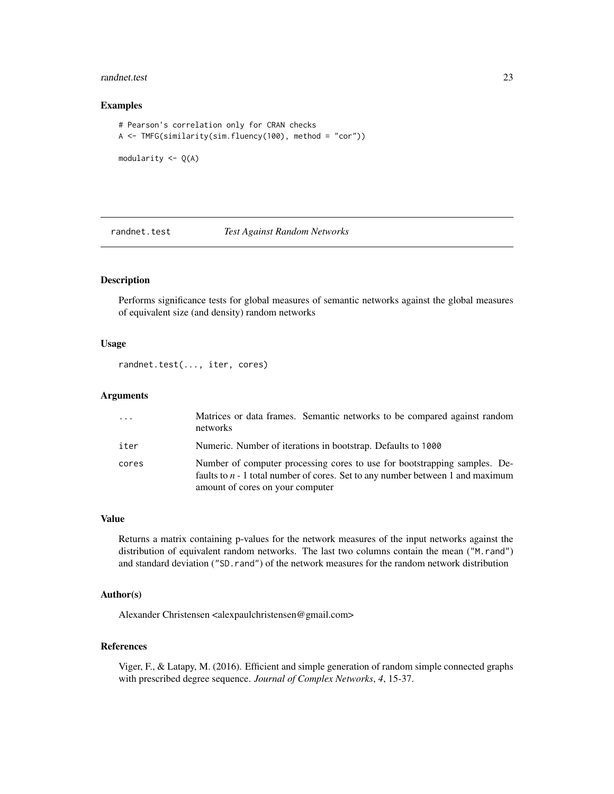#### <span id="page-22-0"></span>randnet.test 23

#### Examples

```
# Pearson's correlation only for CRAN checks
A <- TMFG(similarity(sim.fluency(100), method = "cor"))
modularity <- Q(A)
```
# <span id="page-22-1"></span>randnet.test *Test Against Random Networks*

# Description

Performs significance tests for global measures of semantic networks against the global measures of equivalent size (and density) random networks

#### Usage

randnet.test(..., iter, cores)

#### Arguments

| $\cdot$ | Matrices or data frames. Semantic networks to be compared against random<br>networks                                                                                                              |
|---------|---------------------------------------------------------------------------------------------------------------------------------------------------------------------------------------------------|
| iter    | Numeric. Number of iterations in bootstrap. Defaults to 1000                                                                                                                                      |
| cores   | Number of computer processing cores to use for bootstrapping samples. De-<br>faults to $n - 1$ total number of cores. Set to any number between 1 and maximum<br>amount of cores on your computer |

#### Value

Returns a matrix containing p-values for the network measures of the input networks against the distribution of equivalent random networks. The last two columns contain the mean ("M.rand") and standard deviation ("SD.rand") of the network measures for the random network distribution

# Author(s)

Alexander Christensen <alexpaulchristensen@gmail.com>

# References

Viger, F., & Latapy, M. (2016). Efficient and simple generation of random simple connected graphs with prescribed degree sequence. *Journal of Complex Networks*, *4*, 15-37.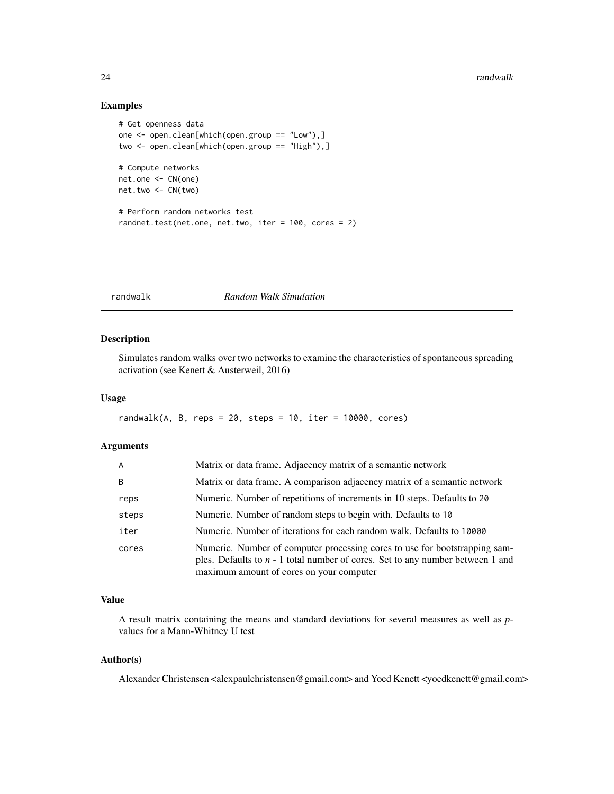#### Examples

```
# Get openness data
one \leq open.clean[which(open.group == "Low"),]
two <- open.clean[which(open.group == "High"),]
# Compute networks
net.one <- CN(one)
net.two <- CN(two)
# Perform random networks test
randnet.test(net.one, net.two, iter = 100, cores = 2)
```
# <span id="page-23-1"></span>randwalk *Random Walk Simulation*

#### Description

Simulates random walks over two networks to examine the characteristics of spontaneous spreading activation (see Kenett & Austerweil, 2016)

#### Usage

```
randwalk(A, B, reps = 20, steps = 10, iter = 10000, cores)
```
# Arguments

| A     | Matrix or data frame. Adjacency matrix of a semantic network                                                                                                                                               |
|-------|------------------------------------------------------------------------------------------------------------------------------------------------------------------------------------------------------------|
| B     | Matrix or data frame. A comparison adjacency matrix of a semantic network                                                                                                                                  |
| reps  | Numeric. Number of repetitions of increments in 10 steps. Defaults to 20                                                                                                                                   |
| steps | Numeric. Number of random steps to begin with. Defaults to 10                                                                                                                                              |
| iter  | Numeric. Number of iterations for each random walk. Defaults to 10000                                                                                                                                      |
| cores | Numeric. Number of computer processing cores to use for bootstrapping sam-<br>ples. Defaults to $n - 1$ total number of cores. Set to any number between 1 and<br>maximum amount of cores on your computer |

# Value

A result matrix containing the means and standard deviations for several measures as well as *p*values for a Mann-Whitney U test

### Author(s)

Alexander Christensen <alexpaulchristensen@gmail.com> and Yoed Kenett <yoedkenett@gmail.com>

<span id="page-23-0"></span>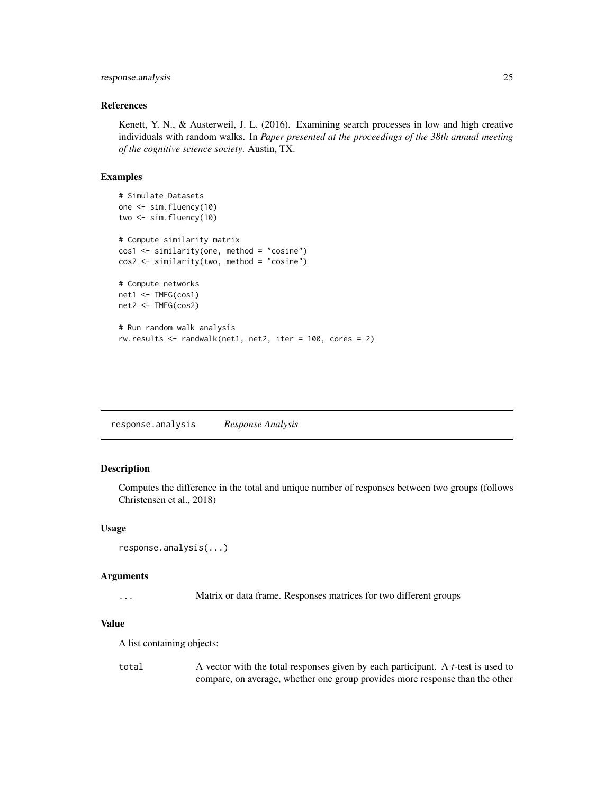# <span id="page-24-0"></span>response.analysis 25

# References

Kenett, Y. N., & Austerweil, J. L. (2016). Examining search processes in low and high creative individuals with random walks. In *Paper presented at the proceedings of the 38th annual meeting of the cognitive science society*. Austin, TX.

# Examples

```
# Simulate Datasets
one <- sim.fluency(10)
two \le sim. fluency(10)
# Compute similarity matrix
cos1 <- similarity(one, method = "cosine")
cos2 <- similarity(two, method = "cosine")
# Compute networks
net1 <- TMFG(cos1)
net2 <- TMFG(cos2)
# Run random walk analysis
rw.results <- randwalk(net1, net2, iter = 100, cores = 2)
```
response.analysis *Response Analysis*

# Description

Computes the difference in the total and unique number of responses between two groups (follows Christensen et al., 2018)

#### Usage

```
response.analysis(...)
```
#### Arguments

... Matrix or data frame. Responses matrices for two different groups

# Value

A list containing objects:

total A vector with the total responses given by each participant. A *t*-test is used to compare, on average, whether one group provides more response than the other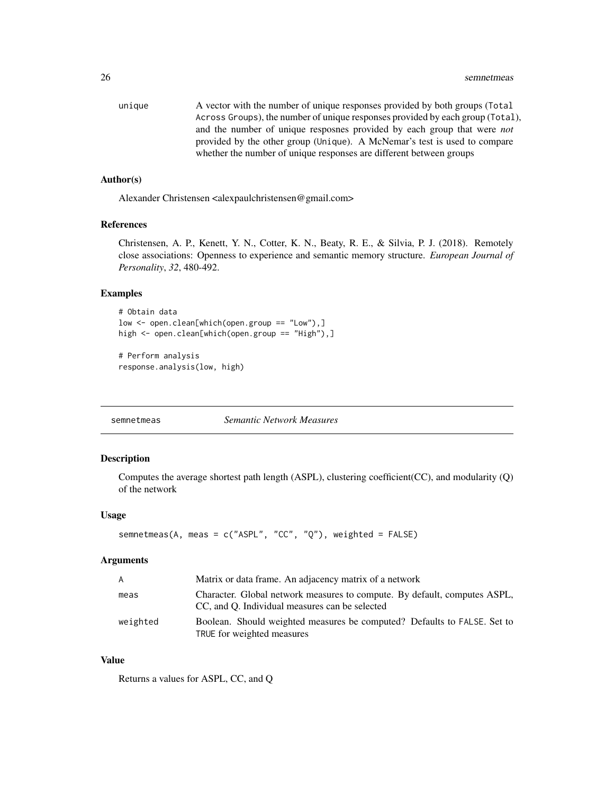<span id="page-25-0"></span>

| unique | A vector with the number of unique responses provided by both groups (Total    |
|--------|--------------------------------------------------------------------------------|
|        | Across Groups), the number of unique responses provided by each group (Total), |
|        | and the number of unique resposnes provided by each group that were <i>not</i> |
|        | provided by the other group (Unique). A McNemar's test is used to compare      |
|        | whether the number of unique responses are different between groups            |

#### Author(s)

Alexander Christensen <alexpaulchristensen@gmail.com>

#### References

Christensen, A. P., Kenett, Y. N., Cotter, K. N., Beaty, R. E., & Silvia, P. J. (2018). Remotely close associations: Openness to experience and semantic memory structure. *European Journal of Personality*, *32*, 480-492.

# Examples

```
# Obtain data
low <- open.clean[which(open.group == "Low"),]
high <- open.clean[which(open.group == "High"),]
```

```
# Perform analysis
response.analysis(low, high)
```
<span id="page-25-1"></span>semnetmeas *Semantic Network Measures*

# Description

Computes the average shortest path length (ASPL), clustering coefficient(CC), and modularity (Q) of the network

#### Usage

```
semnetmeas(A, meas = c("ASPL", "CC", "Q"), weighted = FALSE)
```
#### Arguments

| A        | Matrix or data frame. An adjacency matrix of a network                                                                      |  |  |
|----------|-----------------------------------------------------------------------------------------------------------------------------|--|--|
| meas     | Character. Global network measures to compute. By default, computes ASPL,<br>CC, and O. Individual measures can be selected |  |  |
| weighted | Boolean. Should weighted measures be computed? Defaults to FALSE. Set to<br>TRUE for weighted measures                      |  |  |

# Value

Returns a values for ASPL, CC, and Q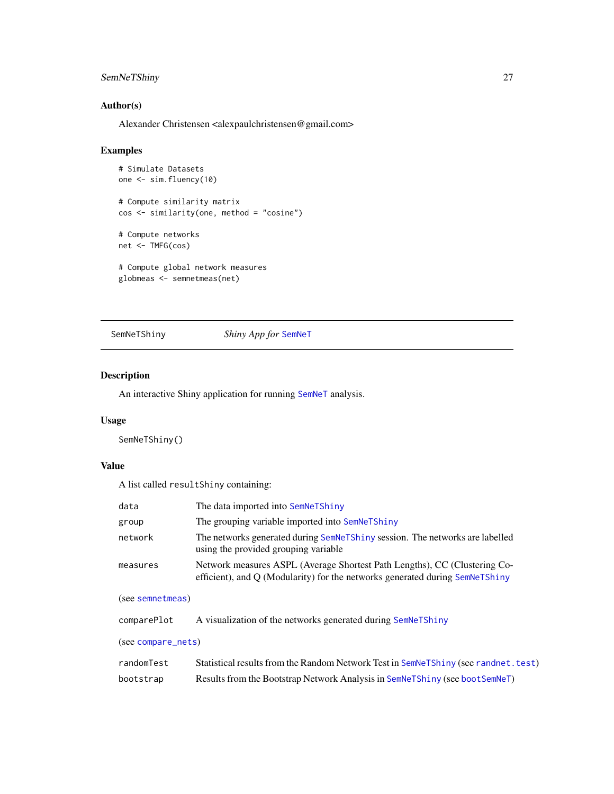# <span id="page-26-0"></span>SemNeTShiny 27

# Author(s)

Alexander Christensen <alexpaulchristensen@gmail.com>

# Examples

```
# Simulate Datasets
one <- sim.fluency(10)
# Compute similarity matrix
cos <- similarity(one, method = "cosine")
# Compute networks
net <- TMFG(cos)
# Compute global network measures
```

```
globmeas <- semnetmeas(net)
```
#### <span id="page-26-1"></span>SemNeTShiny *Shiny App for* [SemNeT](#page-1-1)

#### Description

An interactive Shiny application for running [SemNeT](#page-1-1) analysis.

# Usage

SemNeTShiny()

# Value

A list called resultShiny containing:

| data     | The data imported into SemNeTShiny                                                                                                                        |
|----------|-----------------------------------------------------------------------------------------------------------------------------------------------------------|
| group    | The grouping variable imported into SemNeTShiny                                                                                                           |
| network  | The networks generated during SemNeTShiny session. The networks are labelled<br>using the provided grouping variable                                      |
| measures | Network measures ASPL (Average Shortest Path Lengths), CC (Clustering Co-<br>efficient), and Q (Modularity) for the networks generated during SemNeTShiny |

#### (see [semnetmeas](#page-25-1))

| comparePlot        | A visualization of the networks generated during SemNeTShiny                        |
|--------------------|-------------------------------------------------------------------------------------|
| (see compare_nets) |                                                                                     |
| randomTest         | Statistical results from the Random Network Test in SemNeTShiny (see randnet. test) |
| bootstrap          | Results from the Bootstrap Network Analysis in SemNeTShiny (see boot SemNeT)        |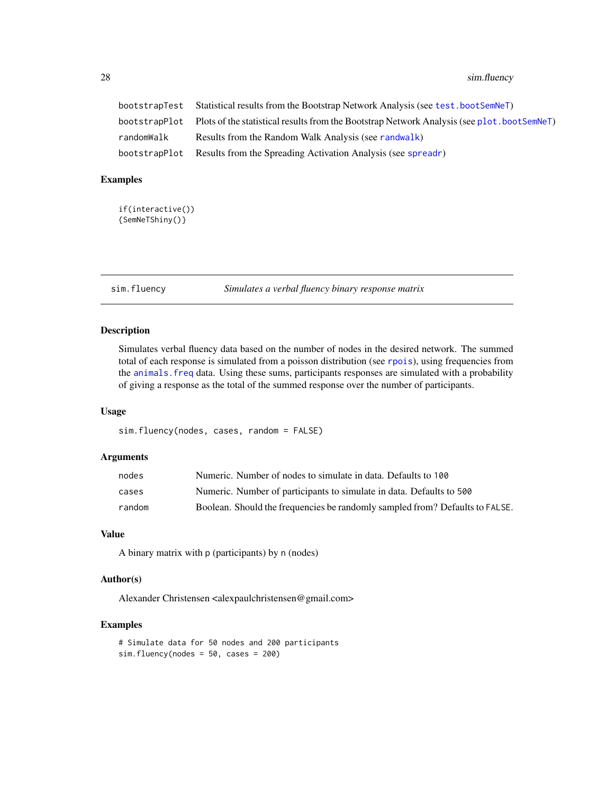# <span id="page-27-0"></span>28 sim.fluency

|            | bootstrapTest Statistical results from the Bootstrap Network Analysis (see test.bootSemNeT)               |
|------------|-----------------------------------------------------------------------------------------------------------|
|            | bootstrapP1ot Plots of the statistical results from the Bootstrap Network Analysis (see p1ot. bootSemNeT) |
| randomWalk | Results from the Random Walk Analysis (see randwalk)                                                      |
|            | bootstrapPlot Results from the Spreading Activation Analysis (see spreadr)                                |

#### Examples

```
if(interactive())
{SemNeTShiny()}
```
<span id="page-27-1"></span>sim.fluency *Simulates a verbal fluency binary response matrix*

# Description

Simulates verbal fluency data based on the number of nodes in the desired network. The summed total of each response is simulated from a poisson distribution (see [rpois](#page-0-0)), using frequencies from the [animals.freq](#page-2-1) data. Using these sums, participants responses are simulated with a probability of giving a response as the total of the summed response over the number of participants.

# Usage

sim.fluency(nodes, cases, random = FALSE)

# Arguments

| nodes  | Numeric. Number of nodes to simulate in data. Defaults to 100                |
|--------|------------------------------------------------------------------------------|
| cases  | Numeric. Number of participants to simulate in data. Defaults to 500         |
| random | Boolean. Should the frequencies be randomly sampled from? Defaults to FALSE. |

# Value

A binary matrix with p (participants) by n (nodes)

# Author(s)

Alexander Christensen <alexpaulchristensen@gmail.com>

```
# Simulate data for 50 nodes and 200 participants
sim.fluency(node = 50, cases = 200)
```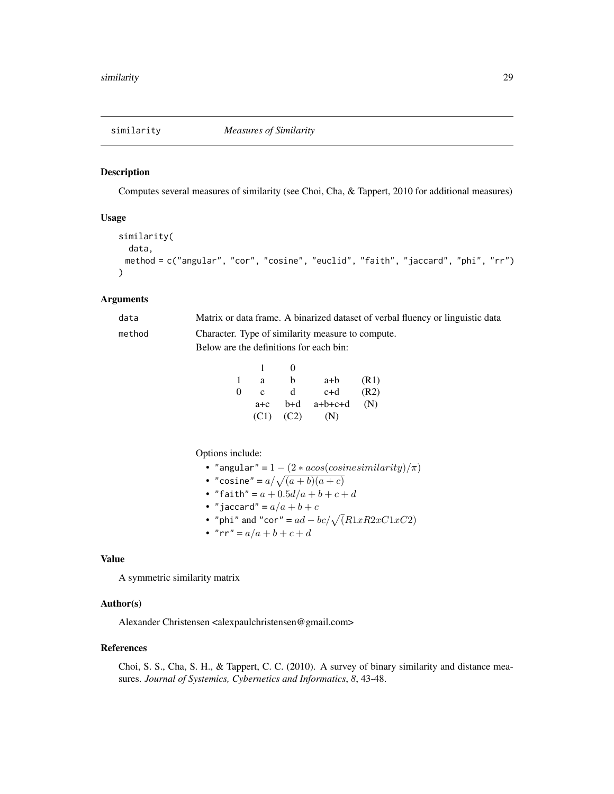<span id="page-28-1"></span><span id="page-28-0"></span>Computes several measures of similarity (see Choi, Cha, & Tappert, 2010 for additional measures)

#### Usage

```
similarity(
 data,
 method = c("angular", "cor", "cosine", "euclid", "faith", "jaccard", "phi", "rr")
)
```
#### Arguments

| data   | Matrix or data frame. A binarized dataset of verbal fluency or linguistic data |
|--------|--------------------------------------------------------------------------------|
| method | Character. Type of similarity measure to compute.                              |
|        | Below are the definitions for each bin:                                        |

|   |         | $\Omega$ |           |      |
|---|---------|----------|-----------|------|
| 1 | a       | h        | a+b       | (R1) |
| 0 | c       | d        | c+d       | (R2) |
|   | $a + c$ | b+d      | $a+b+c+d$ | (N)  |
|   | (C1)    | (C2)     | (N)       |      |

Options include:

• "angular" = 
$$
1 - (2 * a\cos(\cosinesimilarity)/\pi)
$$

• "cosine" = 
$$
a/\sqrt{(a+b)(a+c)}
$$

• "faith" = 
$$
a + 0.5d/a + b + c + d
$$

- "jaccard" =  $a/a + b + c$
- "phi" and "cor" =  $ad bc / \sqrt{(R1xR2xC1xC2)}$
- "rr" =  $a/a + b + c + d$

#### Value

A symmetric similarity matrix

#### Author(s)

Alexander Christensen <alexpaulchristensen@gmail.com>

#### References

Choi, S. S., Cha, S. H., & Tappert, C. C. (2010). A survey of binary similarity and distance measures. *Journal of Systemics, Cybernetics and Informatics*, *8*, 43-48.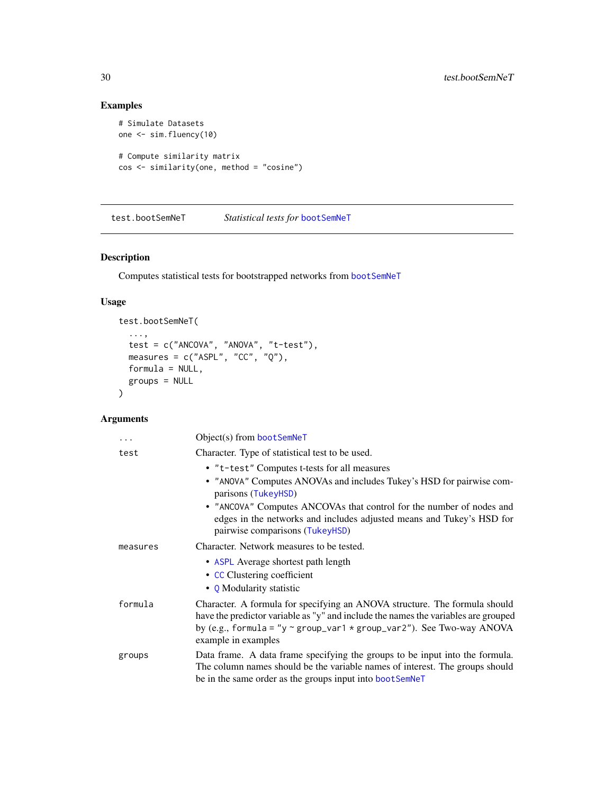# Examples

```
# Simulate Datasets
one <- sim.fluency(10)
# Compute similarity matrix
cos <- similarity(one, method = "cosine")
```
<span id="page-29-1"></span>test.bootSemNeT *Statistical tests for* [bootSemNeT](#page-4-1)

# Description

Computes statistical tests for bootstrapped networks from [bootSemNeT](#page-4-1)

#### Usage

```
test.bootSemNeT(
  ...,
 test = c("ANCOVA", "ANOVA", "t-test"),
 measures = c("ASPL", "CC", "Q"),formula = NULL,
  groups = NULL
\mathcal{L}
```
# Arguments

| $\cdots$ | Object(s) from bootSemNeT                                                                                                                                                                                                                                                   |
|----------|-----------------------------------------------------------------------------------------------------------------------------------------------------------------------------------------------------------------------------------------------------------------------------|
| test     | Character. Type of statistical test to be used.                                                                                                                                                                                                                             |
|          | • "t-test" Computes t-tests for all measures                                                                                                                                                                                                                                |
|          | • "ANOVA" Computes ANOVAs and includes Tukey's HSD for pairwise com-<br>parisons (TukeyHSD)                                                                                                                                                                                 |
|          | • "ANCOVA" Computes ANCOVAs that control for the number of nodes and<br>edges in the networks and includes adjusted means and Tukey's HSD for<br>pairwise comparisons (TukeyHSD)                                                                                            |
| measures | Character. Network measures to be tested.                                                                                                                                                                                                                                   |
|          | • ASPL Average shortest path length<br>• CC Clustering coefficient                                                                                                                                                                                                          |
|          | • Q Modularity statistic                                                                                                                                                                                                                                                    |
| formula  | Character. A formula for specifying an ANOVA structure. The formula should<br>have the predictor variable as "y" and include the names the variables are grouped<br>by (e.g., formula = "y $\sim$ group_var1 $\star$ group_var2"). See Two-way ANOVA<br>example in examples |
| groups   | Data frame. A data frame specifying the groups to be input into the formula.<br>The column names should be the variable names of interest. The groups should<br>be in the same order as the groups input into bootSemNeT                                                    |

<span id="page-29-0"></span>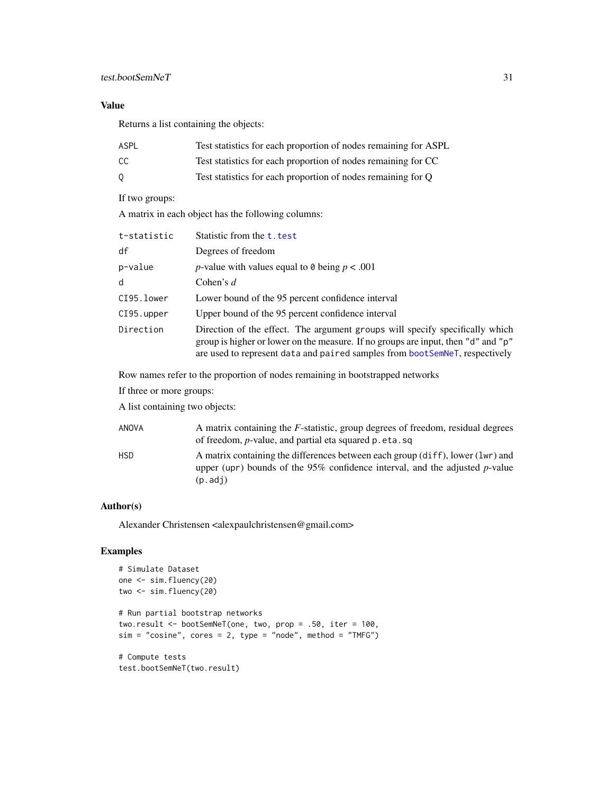# <span id="page-30-0"></span>Value

Returns a list containing the objects:

| ASPL | Test statistics for each proportion of nodes remaining for ASPL |
|------|-----------------------------------------------------------------|
| CC   | Test statistics for each proportion of nodes remaining for CC   |
| 0    | Test statistics for each proportion of nodes remaining for Q    |

# If two groups:

A matrix in each object has the following columns:

| t-statistic | Statistic from the t. test                                                                                                                                                                                                                       |
|-------------|--------------------------------------------------------------------------------------------------------------------------------------------------------------------------------------------------------------------------------------------------|
| df          | Degrees of freedom                                                                                                                                                                                                                               |
| p-value     | <i>p</i> -value with values equal to 0 being $p < .001$                                                                                                                                                                                          |
| d           | Cohen's $d$                                                                                                                                                                                                                                      |
| CI95.lower  | Lower bound of the 95 percent confidence interval                                                                                                                                                                                                |
| CI95.upper  | Upper bound of the 95 percent confidence interval                                                                                                                                                                                                |
| Direction   | Direction of the effect. The argument groups will specify specifically which<br>group is higher or lower on the measure. If no groups are input, then "d" and "p"<br>are used to represent data and paired samples from bootSemNeT, respectively |

Row names refer to the proportion of nodes remaining in bootstrapped networks

If three or more groups:

A list containing two objects:

| ANOVA      | A matrix containing the $F$ -statistic, group degrees of freedom, residual degrees<br>of freedom, <i>p</i> -value, and partial eta squared p.eta.sq                         |
|------------|-----------------------------------------------------------------------------------------------------------------------------------------------------------------------------|
| <b>HSD</b> | A matrix containing the differences between each group (diff), lower (lwr) and<br>upper (upr) bounds of the $95\%$ confidence interval, and the adjusted p-value<br>(p.adj) |

# Author(s)

Alexander Christensen <alexpaulchristensen@gmail.com>

```
# Simulate Dataset
one <- sim.fluency(20)
two <- sim.fluency(20)
# Run partial bootstrap networks
two.result <- bootSemNeT(one, two, prop = .50, iter = 100,
sim = "cosine", cores = 2, type = "node", method = "TMFG")# Compute tests
test.bootSemNeT(two.result)
```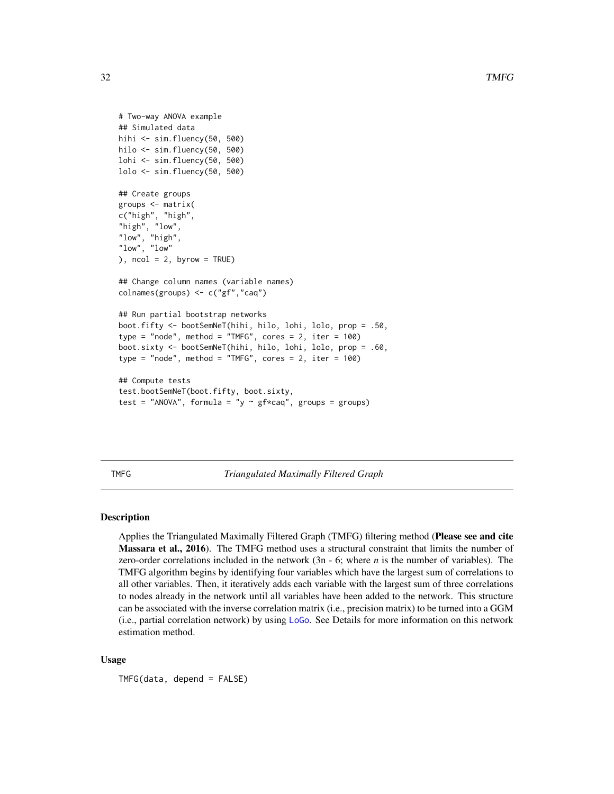```
# Two-way ANOVA example
## Simulated data
hihi <- sim.fluency(50, 500)
hilo <- sim.fluency(50, 500)
lohi <- sim.fluency(50, 500)
lolo <- sim.fluency(50, 500)
## Create groups
groups <- matrix(
c("high", "high",
"high", "low",
"low", "high",
"low", "low"
), ncol = 2, byrow = TRUE)
## Change column names (variable names)
colnames(groups) <- c("gf","caq")
## Run partial bootstrap networks
boot.fifty <- bootSemNeT(hihi, hilo, lohi, lolo, prop = .50,
type = "node", method = "TMFG", cores = 2, iter = 100)
boot.sixty <- bootSemNeT(hihi, hilo, lohi, lolo, prop = .60,
type = "node", method = "TMFG", cores = 2, iter = 100)
## Compute tests
test.bootSemNeT(boot.fifty, boot.sixty,
test = "ANOVA", formula = "y \sim gf*caq", groups = groups)
```
<span id="page-31-1"></span>TMFG *Triangulated Maximally Filtered Graph*

#### Description

Applies the Triangulated Maximally Filtered Graph (TMFG) filtering method (Please see and cite Massara et al., 2016). The TMFG method uses a structural constraint that limits the number of zero-order correlations included in the network (3n - 6; where *n* is the number of variables). The TMFG algorithm begins by identifying four variables which have the largest sum of correlations to all other variables. Then, it iteratively adds each variable with the largest sum of three correlations to nodes already in the network until all variables have been added to the network. This structure can be associated with the inverse correlation matrix (i.e., precision matrix) to be turned into a GGM (i.e., partial correlation network) by using [LoGo](#page-0-0). See Details for more information on this network estimation method.

#### Usage

TMFG(data, depend = FALSE)

<span id="page-31-0"></span>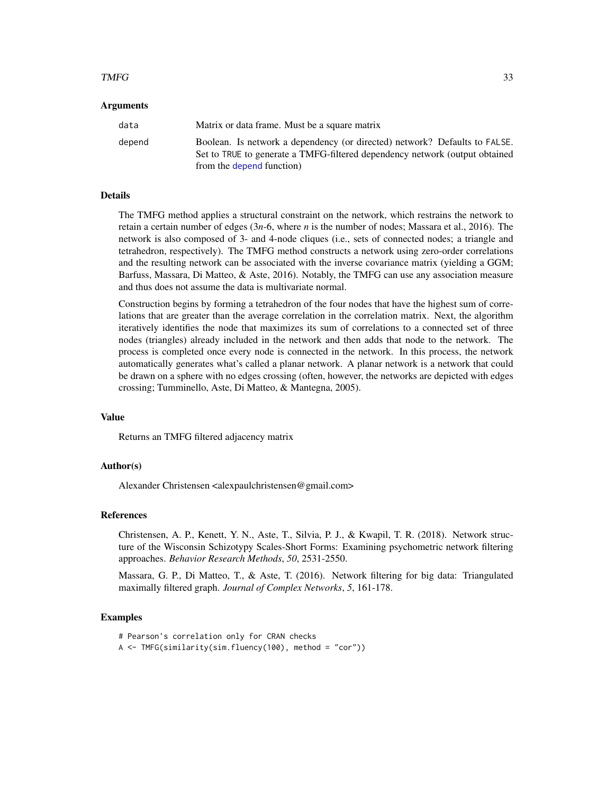#### <span id="page-32-0"></span> $TMFG$  33

#### Arguments

| data   | Matrix or data frame. Must be a square matrix                                                                                                                                          |
|--------|----------------------------------------------------------------------------------------------------------------------------------------------------------------------------------------|
| depend | Boolean. Is network a dependency (or directed) network? Defaults to FALSE.<br>Set to TRUE to generate a TMFG-filtered dependency network (output obtained<br>from the depend function) |

#### Details

The TMFG method applies a structural constraint on the network, which restrains the network to retain a certain number of edges (3*n*-6, where *n* is the number of nodes; Massara et al., 2016). The network is also composed of 3- and 4-node cliques (i.e., sets of connected nodes; a triangle and tetrahedron, respectively). The TMFG method constructs a network using zero-order correlations and the resulting network can be associated with the inverse covariance matrix (yielding a GGM; Barfuss, Massara, Di Matteo, & Aste, 2016). Notably, the TMFG can use any association measure and thus does not assume the data is multivariate normal.

Construction begins by forming a tetrahedron of the four nodes that have the highest sum of correlations that are greater than the average correlation in the correlation matrix. Next, the algorithm iteratively identifies the node that maximizes its sum of correlations to a connected set of three nodes (triangles) already included in the network and then adds that node to the network. The process is completed once every node is connected in the network. In this process, the network automatically generates what's called a planar network. A planar network is a network that could be drawn on a sphere with no edges crossing (often, however, the networks are depicted with edges crossing; Tumminello, Aste, Di Matteo, & Mantegna, 2005).

#### Value

Returns an TMFG filtered adjacency matrix

#### Author(s)

Alexander Christensen <alexpaulchristensen@gmail.com>

#### References

Christensen, A. P., Kenett, Y. N., Aste, T., Silvia, P. J., & Kwapil, T. R. (2018). Network structure of the Wisconsin Schizotypy Scales-Short Forms: Examining psychometric network filtering approaches. *Behavior Research Methods*, *50*, 2531-2550.

Massara, G. P., Di Matteo, T., & Aste, T. (2016). Network filtering for big data: Triangulated maximally filtered graph. *Journal of Complex Networks*, *5*, 161-178.

# Examples

# Pearson's correlation only for CRAN checks

A <- TMFG(similarity(sim.fluency(100), method = "cor"))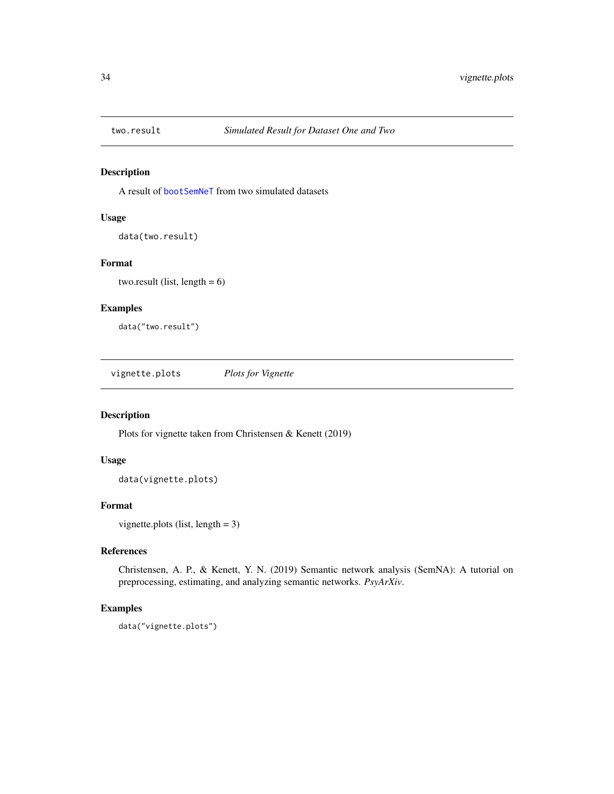<span id="page-33-0"></span>

A result of [bootSemNeT](#page-4-1) from two simulated datasets

# Usage

data(two.result)

# Format

two.result (list, length  $= 6$ )

# Examples

data("two.result")

vignette.plots *Plots for Vignette*

#### Description

Plots for vignette taken from Christensen & Kenett (2019)

#### Usage

data(vignette.plots)

#### Format

vignette.plots (list, length = 3)

# References

Christensen, A. P., & Kenett, Y. N. (2019) Semantic network analysis (SemNA): A tutorial on preprocessing, estimating, and analyzing semantic networks. *PsyArXiv*.

#### Examples

data("vignette.plots")